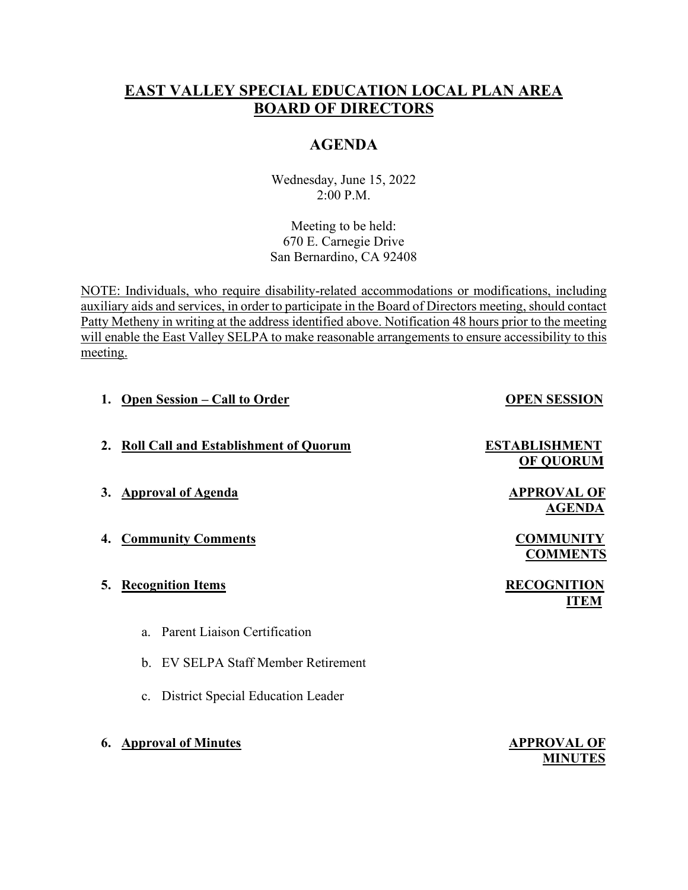# **EAST VALLEY SPECIAL EDUCATION LOCAL PLAN AREA BOARD OF DIRECTORS**

# **AGENDA**

Wednesday, June 15, 2022 2:00 P.M.

Meeting to be held: 670 E. Carnegie Drive San Bernardino, CA 92408

NOTE: Individuals, who require disability-related accommodations or modifications, including auxiliary aids and services, in order to participate in the Board of Directors meeting, should contact Patty Metheny in writing at the address identified above. Notification 48 hours prior to the meeting will enable the East Valley SELPA to make reasonable arrangements to ensure accessibility to this meeting.

- **1.** Open Session Call to Order **OPEN SESSION**
- **2. Roll Call and Establishment of Quorum ESTABLISHMENT**
- **3.** Approval of Agenda **APPROVAL OF**
- **4. Community Comments COMMUNITY**
- **5.** Recognition Items **RECOGNITION** 
	- a. Parent Liaison Certification
	- b. EV SELPA Staff Member Retirement
	- c. District Special Education Leader
- **6.** Approval of Minutes **APPROVAL OF**

 **OF QUORUM** 

 **AGENDA**

**COMMENTS**

 **ITEM**

 **MINUTES**